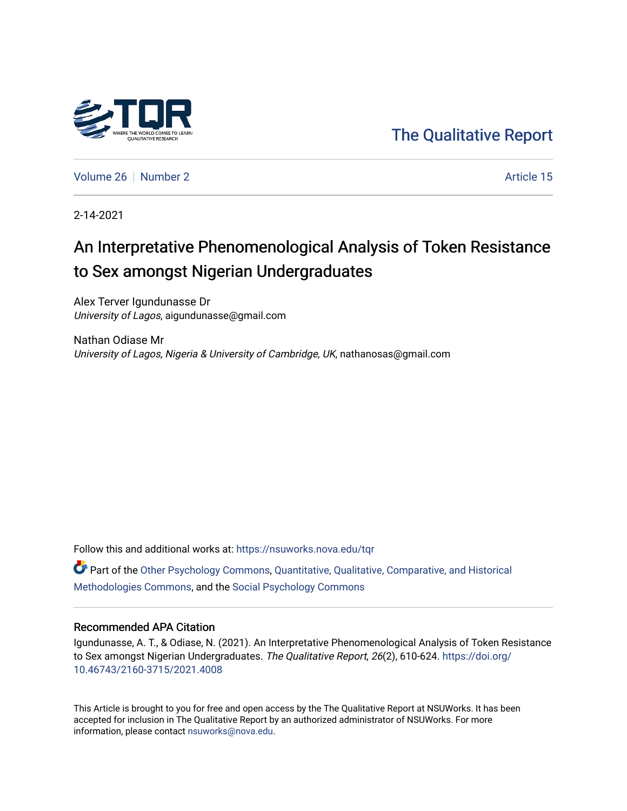

[The Qualitative Report](https://nsuworks.nova.edu/tqr) 

[Volume 26](https://nsuworks.nova.edu/tqr/vol26) [Number 2](https://nsuworks.nova.edu/tqr/vol26/iss2) Article 15

2-14-2021

# An Interpretative Phenomenological Analysis of Token Resistance to Sex amongst Nigerian Undergraduates

Alex Terver Igundunasse Dr University of Lagos, aigundunasse@gmail.com

Nathan Odiase Mr University of Lagos, Nigeria & University of Cambridge, UK, nathanosas@gmail.com

Follow this and additional works at: [https://nsuworks.nova.edu/tqr](https://nsuworks.nova.edu/tqr?utm_source=nsuworks.nova.edu%2Ftqr%2Fvol26%2Fiss2%2F15&utm_medium=PDF&utm_campaign=PDFCoverPages) 

Part of the [Other Psychology Commons,](http://network.bepress.com/hgg/discipline/415?utm_source=nsuworks.nova.edu%2Ftqr%2Fvol26%2Fiss2%2F15&utm_medium=PDF&utm_campaign=PDFCoverPages) [Quantitative, Qualitative, Comparative, and Historical](http://network.bepress.com/hgg/discipline/423?utm_source=nsuworks.nova.edu%2Ftqr%2Fvol26%2Fiss2%2F15&utm_medium=PDF&utm_campaign=PDFCoverPages) [Methodologies Commons](http://network.bepress.com/hgg/discipline/423?utm_source=nsuworks.nova.edu%2Ftqr%2Fvol26%2Fiss2%2F15&utm_medium=PDF&utm_campaign=PDFCoverPages), and the [Social Psychology Commons](http://network.bepress.com/hgg/discipline/414?utm_source=nsuworks.nova.edu%2Ftqr%2Fvol26%2Fiss2%2F15&utm_medium=PDF&utm_campaign=PDFCoverPages)

#### Recommended APA Citation

Igundunasse, A. T., & Odiase, N. (2021). An Interpretative Phenomenological Analysis of Token Resistance to Sex amongst Nigerian Undergraduates. The Qualitative Report, 26(2), 610-624. [https://doi.org/](https://doi.org/10.46743/2160-3715/2021.4008) [10.46743/2160-3715/2021.4008](https://doi.org/10.46743/2160-3715/2021.4008)

This Article is brought to you for free and open access by the The Qualitative Report at NSUWorks. It has been accepted for inclusion in The Qualitative Report by an authorized administrator of NSUWorks. For more information, please contact [nsuworks@nova.edu.](mailto:nsuworks@nova.edu)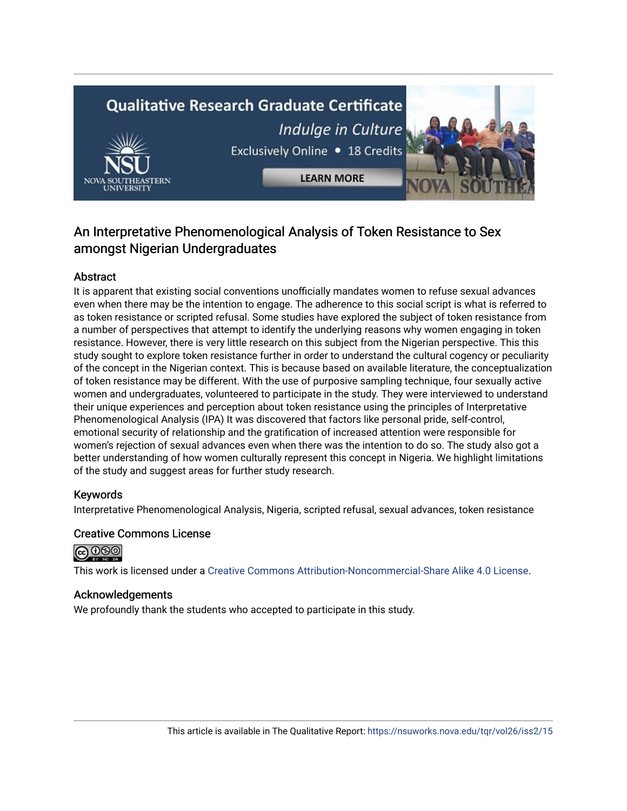# **Qualitative Research Graduate Certificate** Indulge in Culture Exclusively Online . 18 Credits **LEARN MORE**



## Abstract

It is apparent that existing social conventions unofficially mandates women to refuse sexual advances even when there may be the intention to engage. The adherence to this social script is what is referred to as token resistance or scripted refusal. Some studies have explored the subject of token resistance from a number of perspectives that attempt to identify the underlying reasons why women engaging in token resistance. However, there is very little research on this subject from the Nigerian perspective. This this study sought to explore token resistance further in order to understand the cultural cogency or peculiarity of the concept in the Nigerian context. This is because based on available literature, the conceptualization of token resistance may be different. With the use of purposive sampling technique, four sexually active women and undergraduates, volunteered to participate in the study. They were interviewed to understand their unique experiences and perception about token resistance using the principles of Interpretative Phenomenological Analysis (IPA) It was discovered that factors like personal pride, self-control, emotional security of relationship and the gratification of increased attention were responsible for women's rejection of sexual advances even when there was the intention to do so. The study also got a better understanding of how women culturally represent this concept in Nigeria. We highlight limitations of the study and suggest areas for further study research.

## Keywords

Interpretative Phenomenological Analysis, Nigeria, scripted refusal, sexual advances, token resistance

#### Creative Commons License



This work is licensed under a [Creative Commons Attribution-Noncommercial-Share Alike 4.0 License](https://creativecommons.org/licenses/by-nc-sa/4.0/).

#### Acknowledgements

We profoundly thank the students who accepted to participate in this study.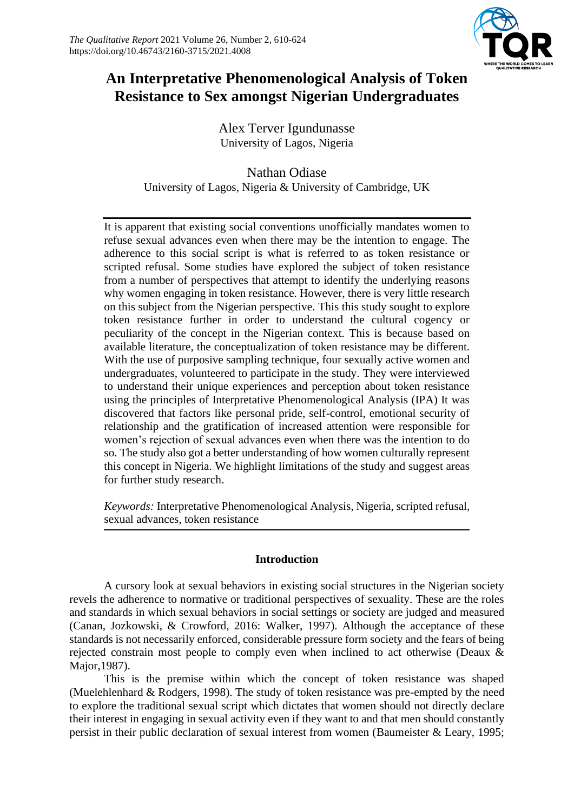

# **An Interpretative Phenomenological Analysis of Token Resistance to Sex amongst Nigerian Undergraduates**

Alex Terver Igundunasse University of Lagos, Nigeria

Nathan Odiase University of Lagos, Nigeria & University of Cambridge, UK

It is apparent that existing social conventions unofficially mandates women to refuse sexual advances even when there may be the intention to engage. The adherence to this social script is what is referred to as token resistance or scripted refusal. Some studies have explored the subject of token resistance from a number of perspectives that attempt to identify the underlying reasons why women engaging in token resistance. However, there is very little research on this subject from the Nigerian perspective. This this study sought to explore token resistance further in order to understand the cultural cogency or peculiarity of the concept in the Nigerian context. This is because based on available literature, the conceptualization of token resistance may be different. With the use of purposive sampling technique, four sexually active women and undergraduates, volunteered to participate in the study. They were interviewed to understand their unique experiences and perception about token resistance using the principles of Interpretative Phenomenological Analysis (IPA) It was discovered that factors like personal pride, self-control, emotional security of relationship and the gratification of increased attention were responsible for women's rejection of sexual advances even when there was the intention to do so. The study also got a better understanding of how women culturally represent this concept in Nigeria. We highlight limitations of the study and suggest areas for further study research.

*Keywords:* Interpretative Phenomenological Analysis, Nigeria, scripted refusal, sexual advances, token resistance

## **Introduction**

A cursory look at sexual behaviors in existing social structures in the Nigerian society revels the adherence to normative or traditional perspectives of sexuality. These are the roles and standards in which sexual behaviors in social settings or society are judged and measured (Canan, Jozkowski, & Crowford, 2016: Walker, 1997). Although the acceptance of these standards is not necessarily enforced, considerable pressure form society and the fears of being rejected constrain most people to comply even when inclined to act otherwise (Deaux & Major,1987).

This is the premise within which the concept of token resistance was shaped (Muelehlenhard & Rodgers, 1998). The study of token resistance was pre-empted by the need to explore the traditional sexual script which dictates that women should not directly declare their interest in engaging in sexual activity even if they want to and that men should constantly persist in their public declaration of sexual interest from women (Baumeister & Leary, 1995;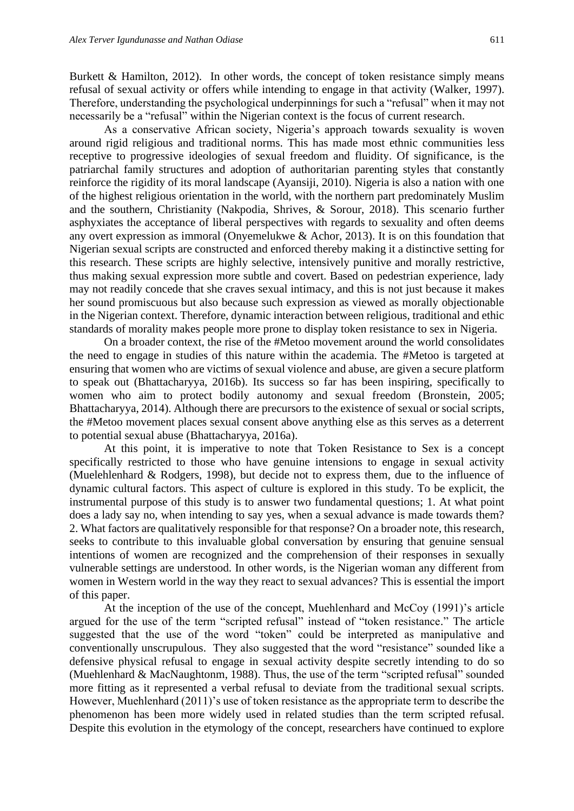Burkett  $\&$  Hamilton, 2012). In other words, the concept of token resistance simply means refusal of sexual activity or offers while intending to engage in that activity (Walker, 1997). Therefore, understanding the psychological underpinnings for such a "refusal" when it may not necessarily be a "refusal" within the Nigerian context is the focus of current research.

As a conservative African society, Nigeria's approach towards sexuality is woven around rigid religious and traditional norms. This has made most ethnic communities less receptive to progressive ideologies of sexual freedom and fluidity. Of significance, is the patriarchal family structures and adoption of authoritarian parenting styles that constantly reinforce the rigidity of its moral landscape (Ayansiji, 2010). Nigeria is also a nation with one of the highest religious orientation in the world, with the northern part predominately Muslim and the southern, Christianity (Nakpodia, Shrives, & Sorour, 2018). This scenario further asphyxiates the acceptance of liberal perspectives with regards to sexuality and often deems any overt expression as immoral (Onyemelukwe & Achor, 2013). It is on this foundation that Nigerian sexual scripts are constructed and enforced thereby making it a distinctive setting for this research. These scripts are highly selective, intensively punitive and morally restrictive, thus making sexual expression more subtle and covert. Based on pedestrian experience, lady may not readily concede that she craves sexual intimacy, and this is not just because it makes her sound promiscuous but also because such expression as viewed as morally objectionable in the Nigerian context. Therefore, dynamic interaction between religious, traditional and ethic standards of morality makes people more prone to display token resistance to sex in Nigeria.

On a broader context, the rise of the #Metoo movement around the world consolidates the need to engage in studies of this nature within the academia. The #Metoo is targeted at ensuring that women who are victims of sexual violence and abuse, are given a secure platform to speak out (Bhattacharyya, 2016b). Its success so far has been inspiring, specifically to women who aim to protect bodily autonomy and sexual freedom (Bronstein, 2005; Bhattacharyya, 2014). Although there are precursors to the existence of sexual or social scripts, the #Metoo movement places sexual consent above anything else as this serves as a deterrent to potential sexual abuse (Bhattacharyya, 2016a).

At this point, it is imperative to note that Token Resistance to Sex is a concept specifically restricted to those who have genuine intensions to engage in sexual activity (Muelehlenhard & Rodgers, 1998), but decide not to express them, due to the influence of dynamic cultural factors. This aspect of culture is explored in this study. To be explicit, the instrumental purpose of this study is to answer two fundamental questions; 1. At what point does a lady say no, when intending to say yes, when a sexual advance is made towards them? 2. What factors are qualitatively responsible for that response? On a broader note, this research, seeks to contribute to this invaluable global conversation by ensuring that genuine sensual intentions of women are recognized and the comprehension of their responses in sexually vulnerable settings are understood. In other words, is the Nigerian woman any different from women in Western world in the way they react to sexual advances? This is essential the import of this paper.

At the inception of the use of the concept, Muehlenhard and McCoy (1991)'s article argued for the use of the term "scripted refusal" instead of "token resistance." The article suggested that the use of the word "token" could be interpreted as manipulative and conventionally unscrupulous. They also suggested that the word "resistance" sounded like a defensive physical refusal to engage in sexual activity despite secretly intending to do so (Muehlenhard & MacNaughtonm, 1988). Thus, the use of the term "scripted refusal" sounded more fitting as it represented a verbal refusal to deviate from the traditional sexual scripts. However, Muehlenhard (2011)'s use of token resistance as the appropriate term to describe the phenomenon has been more widely used in related studies than the term scripted refusal. Despite this evolution in the etymology of the concept, researchers have continued to explore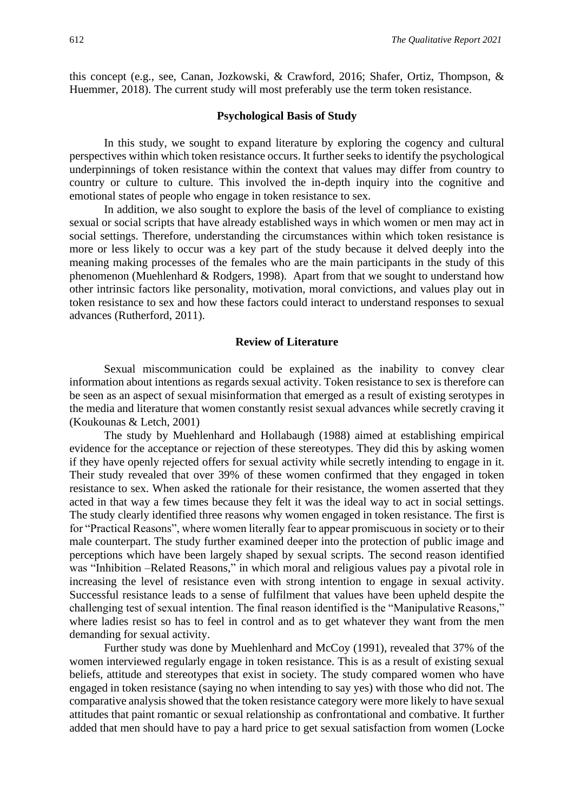this concept (e.g., see, Canan, Jozkowski, & Crawford, 2016; Shafer, Ortiz, Thompson, & Huemmer, 2018). The current study will most preferably use the term token resistance.

#### **Psychological Basis of Study**

In this study, we sought to expand literature by exploring the cogency and cultural perspectives within which token resistance occurs. It further seeks to identify the psychological underpinnings of token resistance within the context that values may differ from country to country or culture to culture. This involved the in-depth inquiry into the cognitive and emotional states of people who engage in token resistance to sex.

In addition, we also sought to explore the basis of the level of compliance to existing sexual or social scripts that have already established ways in which women or men may act in social settings. Therefore, understanding the circumstances within which token resistance is more or less likely to occur was a key part of the study because it delved deeply into the meaning making processes of the females who are the main participants in the study of this phenomenon (Muehlenhard & Rodgers, 1998). Apart from that we sought to understand how other intrinsic factors like personality, motivation, moral convictions, and values play out in token resistance to sex and how these factors could interact to understand responses to sexual advances (Rutherford, 2011).

## **Review of Literature**

Sexual miscommunication could be explained as the inability to convey clear information about intentions as regards sexual activity. Token resistance to sex is therefore can be seen as an aspect of sexual misinformation that emerged as a result of existing serotypes in the media and literature that women constantly resist sexual advances while secretly craving it (Koukounas & Letch, 2001)

The study by Muehlenhard and Hollabaugh (1988) aimed at establishing empirical evidence for the acceptance or rejection of these stereotypes. They did this by asking women if they have openly rejected offers for sexual activity while secretly intending to engage in it. Their study revealed that over 39% of these women confirmed that they engaged in token resistance to sex. When asked the rationale for their resistance, the women asserted that they acted in that way a few times because they felt it was the ideal way to act in social settings. The study clearly identified three reasons why women engaged in token resistance. The first is for "Practical Reasons", where women literally fear to appear promiscuous in society or to their male counterpart. The study further examined deeper into the protection of public image and perceptions which have been largely shaped by sexual scripts. The second reason identified was "Inhibition –Related Reasons," in which moral and religious values pay a pivotal role in increasing the level of resistance even with strong intention to engage in sexual activity. Successful resistance leads to a sense of fulfilment that values have been upheld despite the challenging test of sexual intention. The final reason identified is the "Manipulative Reasons," where ladies resist so has to feel in control and as to get whatever they want from the men demanding for sexual activity.

Further study was done by Muehlenhard and McCoy (1991), revealed that 37% of the women interviewed regularly engage in token resistance. This is as a result of existing sexual beliefs, attitude and stereotypes that exist in society. The study compared women who have engaged in token resistance (saying no when intending to say yes) with those who did not. The comparative analysis showed that the token resistance category were more likely to have sexual attitudes that paint romantic or sexual relationship as confrontational and combative. It further added that men should have to pay a hard price to get sexual satisfaction from women (Locke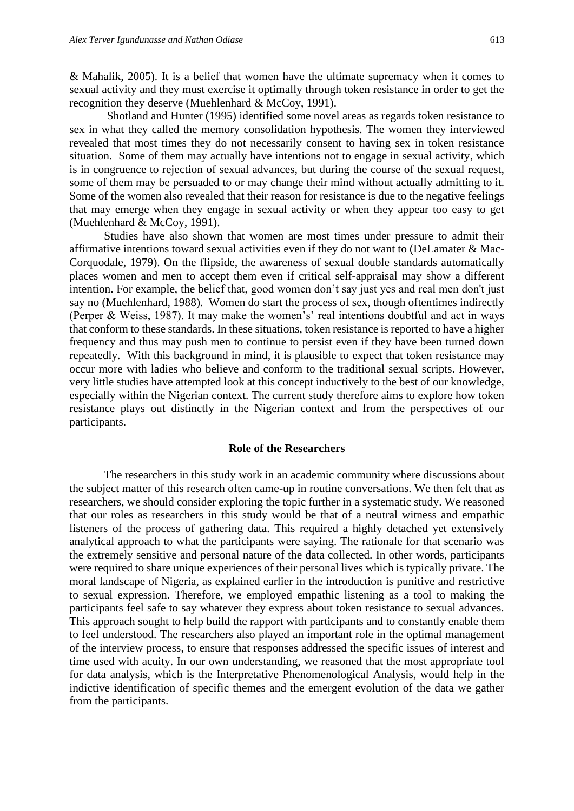& Mahalik, 2005). It is a belief that women have the ultimate supremacy when it comes to sexual activity and they must exercise it optimally through token resistance in order to get the recognition they deserve (Muehlenhard & McCoy, 1991).

Shotland and Hunter (1995) identified some novel areas as regards token resistance to sex in what they called the memory consolidation hypothesis. The women they interviewed revealed that most times they do not necessarily consent to having sex in token resistance situation. Some of them may actually have intentions not to engage in sexual activity, which is in congruence to rejection of sexual advances, but during the course of the sexual request, some of them may be persuaded to or may change their mind without actually admitting to it. Some of the women also revealed that their reason for resistance is due to the negative feelings that may emerge when they engage in sexual activity or when they appear too easy to get (Muehlenhard & McCoy, 1991).

Studies have also shown that women are most times under pressure to admit their affirmative intentions toward sexual activities even if they do not want to (DeLamater & Mac-Corquodale, 1979). On the flipside, the awareness of sexual double standards automatically places women and men to accept them even if critical self-appraisal may show a different intention. For example, the belief that, good women don't say just yes and real men don't just say no (Muehlenhard, 1988). Women do start the process of sex, though oftentimes indirectly (Perper & Weiss, 1987). It may make the women's' real intentions doubtful and act in ways that conform to these standards. In these situations, token resistance is reported to have a higher frequency and thus may push men to continue to persist even if they have been turned down repeatedly. With this background in mind, it is plausible to expect that token resistance may occur more with ladies who believe and conform to the traditional sexual scripts. However, very little studies have attempted look at this concept inductively to the best of our knowledge, especially within the Nigerian context. The current study therefore aims to explore how token resistance plays out distinctly in the Nigerian context and from the perspectives of our participants.

#### **Role of the Researchers**

The researchers in this study work in an academic community where discussions about the subject matter of this research often came-up in routine conversations. We then felt that as researchers, we should consider exploring the topic further in a systematic study. We reasoned that our roles as researchers in this study would be that of a neutral witness and empathic listeners of the process of gathering data. This required a highly detached yet extensively analytical approach to what the participants were saying. The rationale for that scenario was the extremely sensitive and personal nature of the data collected. In other words, participants were required to share unique experiences of their personal lives which is typically private. The moral landscape of Nigeria, as explained earlier in the introduction is punitive and restrictive to sexual expression. Therefore, we employed empathic listening as a tool to making the participants feel safe to say whatever they express about token resistance to sexual advances. This approach sought to help build the rapport with participants and to constantly enable them to feel understood. The researchers also played an important role in the optimal management of the interview process, to ensure that responses addressed the specific issues of interest and time used with acuity. In our own understanding, we reasoned that the most appropriate tool for data analysis, which is the Interpretative Phenomenological Analysis, would help in the indictive identification of specific themes and the emergent evolution of the data we gather from the participants.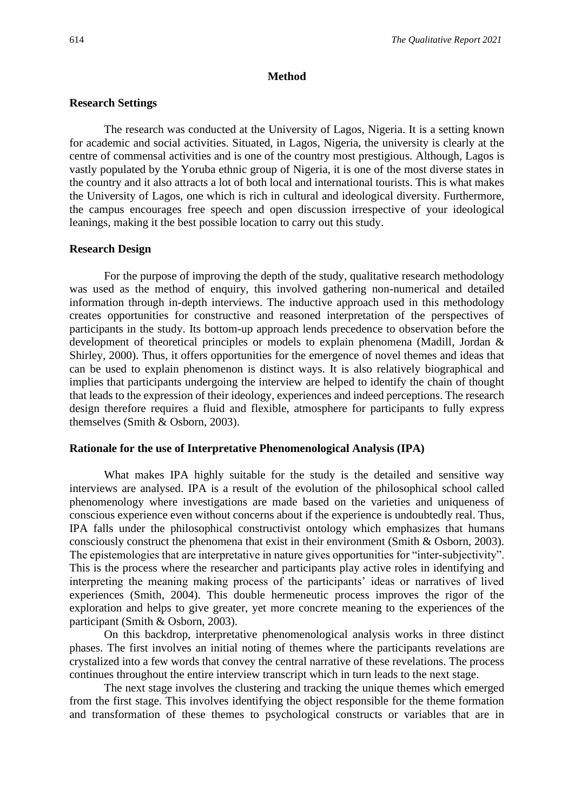#### **Method**

#### **Research Settings**

The research was conducted at the University of Lagos, Nigeria. It is a setting known for academic and social activities. Situated, in Lagos, Nigeria, the university is clearly at the centre of commensal activities and is one of the country most prestigious. Although, Lagos is vastly populated by the Yoruba ethnic group of Nigeria, it is one of the most diverse states in the country and it also attracts a lot of both local and international tourists. This is what makes the University of Lagos, one which is rich in cultural and ideological diversity. Furthermore, the campus encourages free speech and open discussion irrespective of your ideological leanings, making it the best possible location to carry out this study.

#### **Research Design**

For the purpose of improving the depth of the study, qualitative research methodology was used as the method of enquiry, this involved gathering non-numerical and detailed information through in-depth interviews. The inductive approach used in this methodology creates opportunities for constructive and reasoned interpretation of the perspectives of participants in the study. Its bottom-up approach lends precedence to observation before the development of theoretical principles or models to explain phenomena (Madill, Jordan & Shirley, 2000). Thus, it offers opportunities for the emergence of novel themes and ideas that can be used to explain phenomenon is distinct ways. It is also relatively biographical and implies that participants undergoing the interview are helped to identify the chain of thought that leads to the expression of their ideology, experiences and indeed perceptions. The research design therefore requires a fluid and flexible, atmosphere for participants to fully express themselves (Smith & Osborn, 2003).

#### **Rationale for the use of Interpretative Phenomenological Analysis (IPA)**

What makes IPA highly suitable for the study is the detailed and sensitive way interviews are analysed. IPA is a result of the evolution of the philosophical school called phenomenology where investigations are made based on the varieties and uniqueness of conscious experience even without concerns about if the experience is undoubtedly real. Thus, IPA falls under the philosophical constructivist ontology which emphasizes that humans consciously construct the phenomena that exist in their environment (Smith & Osborn, 2003). The epistemologies that are interpretative in nature gives opportunities for "inter-subjectivity". This is the process where the researcher and participants play active roles in identifying and interpreting the meaning making process of the participants' ideas or narratives of lived experiences (Smith, 2004). This double hermeneutic process improves the rigor of the exploration and helps to give greater, yet more concrete meaning to the experiences of the participant (Smith & Osborn, 2003).

On this backdrop, interpretative phenomenological analysis works in three distinct phases. The first involves an initial noting of themes where the participants revelations are crystalized into a few words that convey the central narrative of these revelations. The process continues throughout the entire interview transcript which in turn leads to the next stage.

The next stage involves the clustering and tracking the unique themes which emerged from the first stage. This involves identifying the object responsible for the theme formation and transformation of these themes to psychological constructs or variables that are in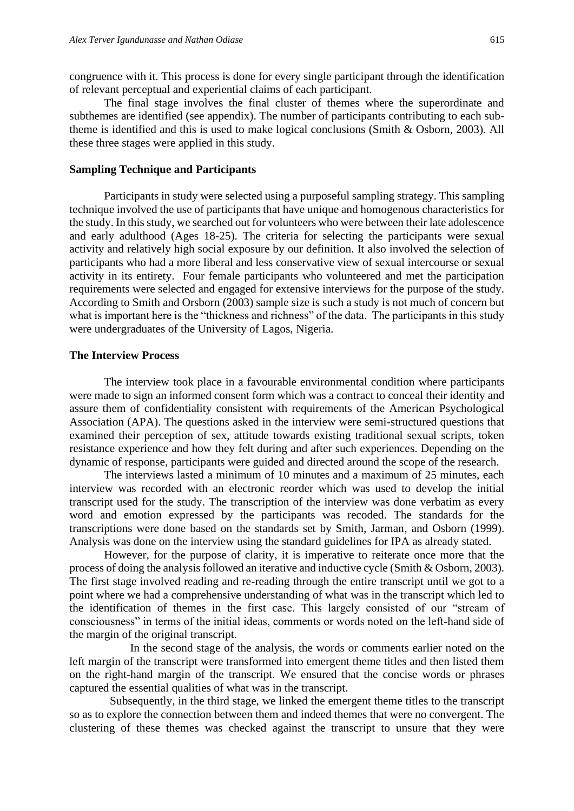congruence with it. This process is done for every single participant through the identification of relevant perceptual and experiential claims of each participant.

The final stage involves the final cluster of themes where the superordinate and subthemes are identified (see appendix). The number of participants contributing to each subtheme is identified and this is used to make logical conclusions (Smith & Osborn, 2003). All these three stages were applied in this study.

#### **Sampling Technique and Participants**

Participants in study were selected using a purposeful sampling strategy. This sampling technique involved the use of participants that have unique and homogenous characteristics for the study. In this study, we searched out for volunteers who were between their late adolescence and early adulthood (Ages 18-25). The criteria for selecting the participants were sexual activity and relatively high social exposure by our definition. It also involved the selection of participants who had a more liberal and less conservative view of sexual intercourse or sexual activity in its entirety. Four female participants who volunteered and met the participation requirements were selected and engaged for extensive interviews for the purpose of the study. According to Smith and Orsborn (2003) sample size is such a study is not much of concern but what is important here is the "thickness and richness" of the data. The participants in this study were undergraduates of the University of Lagos, Nigeria.

#### **The Interview Process**

The interview took place in a favourable environmental condition where participants were made to sign an informed consent form which was a contract to conceal their identity and assure them of confidentiality consistent with requirements of the American Psychological Association (APA). The questions asked in the interview were semi-structured questions that examined their perception of sex, attitude towards existing traditional sexual scripts, token resistance experience and how they felt during and after such experiences. Depending on the dynamic of response, participants were guided and directed around the scope of the research.

The interviews lasted a minimum of 10 minutes and a maximum of 25 minutes, each interview was recorded with an electronic reorder which was used to develop the initial transcript used for the study. The transcription of the interview was done verbatim as every word and emotion expressed by the participants was recoded. The standards for the transcriptions were done based on the standards set by Smith, Jarman, and Osborn (1999). Analysis was done on the interview using the standard guidelines for IPA as already stated.

However, for the purpose of clarity, it is imperative to reiterate once more that the process of doing the analysis followed an iterative and inductive cycle (Smith & Osborn, 2003). The first stage involved reading and re-reading through the entire transcript until we got to a point where we had a comprehensive understanding of what was in the transcript which led to the identification of themes in the first case. This largely consisted of our "stream of consciousness" in terms of the initial ideas, comments or words noted on the left-hand side of the margin of the original transcript.

 In the second stage of the analysis, the words or comments earlier noted on the left margin of the transcript were transformed into emergent theme titles and then listed them on the right-hand margin of the transcript. We ensured that the concise words or phrases captured the essential qualities of what was in the transcript.

 Subsequently, in the third stage, we linked the emergent theme titles to the transcript so as to explore the connection between them and indeed themes that were no convergent. The clustering of these themes was checked against the transcript to unsure that they were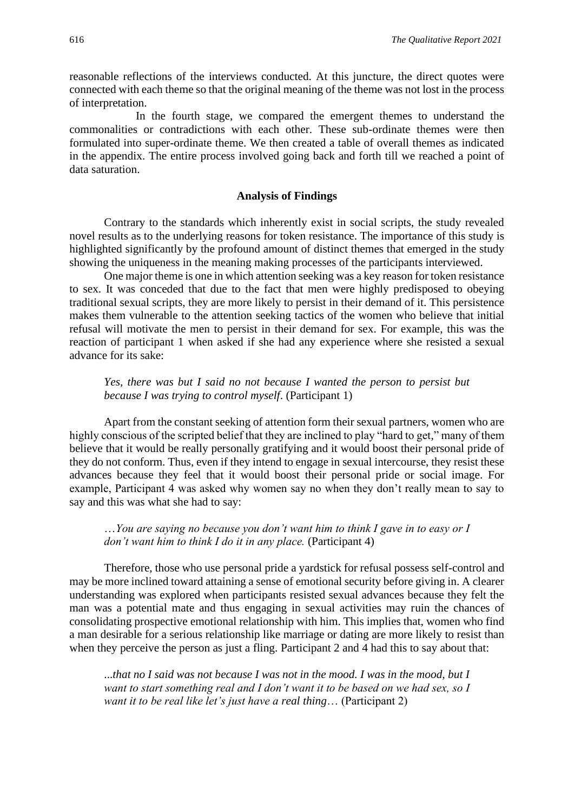reasonable reflections of the interviews conducted. At this juncture, the direct quotes were connected with each theme so that the original meaning of the theme was not lost in the process of interpretation.

 In the fourth stage, we compared the emergent themes to understand the commonalities or contradictions with each other. These sub-ordinate themes were then formulated into super-ordinate theme. We then created a table of overall themes as indicated in the appendix. The entire process involved going back and forth till we reached a point of data saturation.

#### **Analysis of Findings**

Contrary to the standards which inherently exist in social scripts, the study revealed novel results as to the underlying reasons for token resistance. The importance of this study is highlighted significantly by the profound amount of distinct themes that emerged in the study showing the uniqueness in the meaning making processes of the participants interviewed.

One major theme is one in which attention seeking was a key reason for token resistance to sex. It was conceded that due to the fact that men were highly predisposed to obeying traditional sexual scripts, they are more likely to persist in their demand of it. This persistence makes them vulnerable to the attention seeking tactics of the women who believe that initial refusal will motivate the men to persist in their demand for sex. For example, this was the reaction of participant 1 when asked if she had any experience where she resisted a sexual advance for its sake:

## *Yes, there was but I said no not because I wanted the person to persist but because I was trying to control myself*. (Participant 1)

Apart from the constant seeking of attention form their sexual partners, women who are highly conscious of the scripted belief that they are inclined to play "hard to get," many of them believe that it would be really personally gratifying and it would boost their personal pride of they do not conform. Thus, even if they intend to engage in sexual intercourse, they resist these advances because they feel that it would boost their personal pride or social image. For example, Participant 4 was asked why women say no when they don't really mean to say to say and this was what she had to say:

## …*You are saying no because you don't want him to think I gave in to easy or I don't want him to think I do it in any place.* (Participant 4)

Therefore, those who use personal pride a yardstick for refusal possess self-control and may be more inclined toward attaining a sense of emotional security before giving in. A clearer understanding was explored when participants resisted sexual advances because they felt the man was a potential mate and thus engaging in sexual activities may ruin the chances of consolidating prospective emotional relationship with him. This implies that, women who find a man desirable for a serious relationship like marriage or dating are more likely to resist than when they perceive the person as just a fling. Participant 2 and 4 had this to say about that:

...*that no I said was not because I was not in the mood. I was in the mood, but I want to start something real and I don't want it to be based on we had sex, so I want it to be real like let's just have a real thing*… (Participant 2)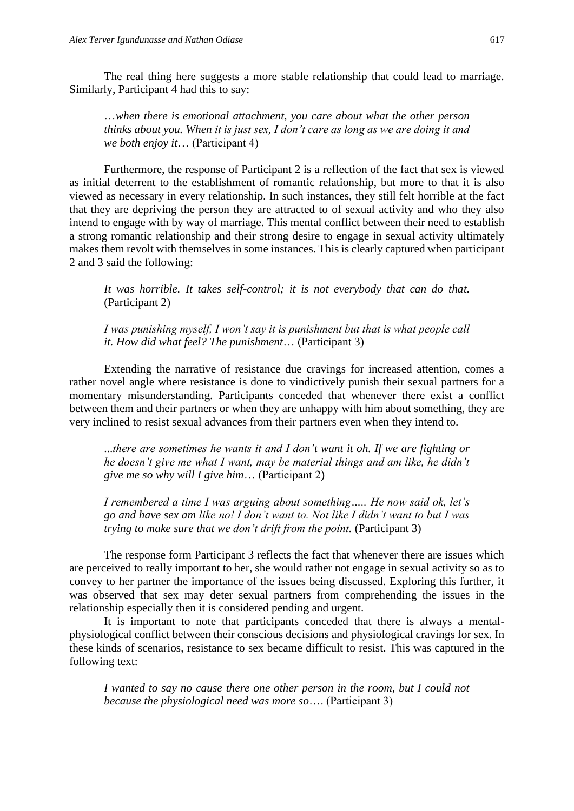The real thing here suggests a more stable relationship that could lead to marriage. Similarly, Participant 4 had this to say:

…*when there is emotional attachment, you care about what the other person thinks about you. When it is just sex, I don't care as long as we are doing it and we both enjoy it*… (Participant 4)

Furthermore, the response of Participant 2 is a reflection of the fact that sex is viewed as initial deterrent to the establishment of romantic relationship, but more to that it is also viewed as necessary in every relationship. In such instances, they still felt horrible at the fact that they are depriving the person they are attracted to of sexual activity and who they also intend to engage with by way of marriage. This mental conflict between their need to establish a strong romantic relationship and their strong desire to engage in sexual activity ultimately makes them revolt with themselves in some instances. This is clearly captured when participant 2 and 3 said the following:

*It was horrible. It takes self-control; it is not everybody that can do that.* (Participant 2)

*I was punishing myself, I won't say it is punishment but that is what people call it. How did what feel? The punishment*… (Participant 3)

Extending the narrative of resistance due cravings for increased attention, comes a rather novel angle where resistance is done to vindictively punish their sexual partners for a momentary misunderstanding. Participants conceded that whenever there exist a conflict between them and their partners or when they are unhappy with him about something, they are very inclined to resist sexual advances from their partners even when they intend to.

...*there are sometimes he wants it and I don't want it oh. If we are fighting or he doesn't give me what I want, may be material things and am like, he didn't give me so why will I give him*… (Participant 2)

*I remembered a time I was arguing about something….. He now said ok, let's go and have sex am like no! I don't want to. Not like I didn't want to but I was trying to make sure that we don't drift from the point.* (Participant 3)

The response form Participant 3 reflects the fact that whenever there are issues which are perceived to really important to her, she would rather not engage in sexual activity so as to convey to her partner the importance of the issues being discussed. Exploring this further, it was observed that sex may deter sexual partners from comprehending the issues in the relationship especially then it is considered pending and urgent.

It is important to note that participants conceded that there is always a mentalphysiological conflict between their conscious decisions and physiological cravings for sex. In these kinds of scenarios, resistance to sex became difficult to resist. This was captured in the following text:

*I wanted to say no cause there one other person in the room, but I could not because the physiological need was more so*…. (Participant 3)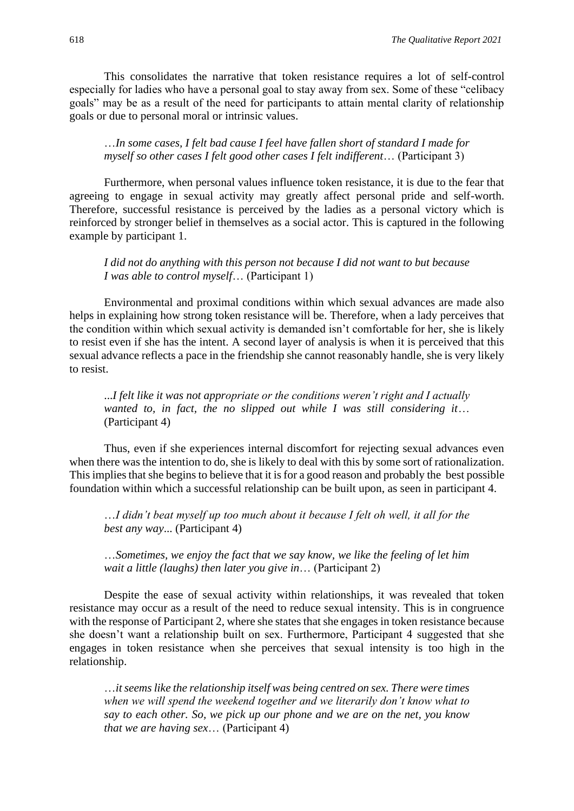This consolidates the narrative that token resistance requires a lot of self-control especially for ladies who have a personal goal to stay away from sex. Some of these "celibacy goals" may be as a result of the need for participants to attain mental clarity of relationship goals or due to personal moral or intrinsic values.

## …*In some cases, I felt bad cause I feel have fallen short of standard I made for myself so other cases I felt good other cases I felt indifferent*… (Participant 3)

Furthermore, when personal values influence token resistance, it is due to the fear that agreeing to engage in sexual activity may greatly affect personal pride and self-worth. Therefore, successful resistance is perceived by the ladies as a personal victory which is reinforced by stronger belief in themselves as a social actor. This is captured in the following example by participant 1.

## *I did not do anything with this person not because I did not want to but because I was able to control myself*… (Participant 1)

Environmental and proximal conditions within which sexual advances are made also helps in explaining how strong token resistance will be. Therefore, when a lady perceives that the condition within which sexual activity is demanded isn't comfortable for her, she is likely to resist even if she has the intent. A second layer of analysis is when it is perceived that this sexual advance reflects a pace in the friendship she cannot reasonably handle, she is very likely to resist.

...*I felt like it was not appropriate or the conditions weren't right and I actually wanted to, in fact, the no slipped out while I was still considering it*… (Participant 4)

Thus, even if she experiences internal discomfort for rejecting sexual advances even when there was the intention to do, she is likely to deal with this by some sort of rationalization. This implies that she begins to believe that it is for a good reason and probably the best possible foundation within which a successful relationship can be built upon, as seen in participant 4.

…*I didn't beat myself up too much about it because I felt oh well, it all for the best any way*... (Participant 4)

…*Sometimes, we enjoy the fact that we say know, we like the feeling of let him wait a little (laughs) then later you give in*… (Participant 2)

Despite the ease of sexual activity within relationships, it was revealed that token resistance may occur as a result of the need to reduce sexual intensity. This is in congruence with the response of Participant 2, where she states that she engages in token resistance because she doesn't want a relationship built on sex. Furthermore, Participant 4 suggested that she engages in token resistance when she perceives that sexual intensity is too high in the relationship.

…*it seems like the relationship itself was being centred on sex. There were times when we will spend the weekend together and we literarily don't know what to say to each other. So, we pick up our phone and we are on the net, you know that we are having sex*… (Participant 4)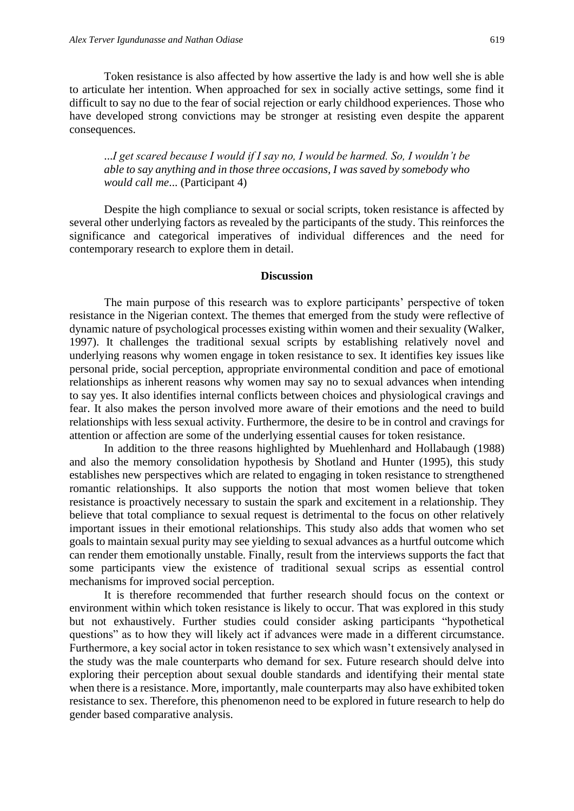Token resistance is also affected by how assertive the lady is and how well she is able to articulate her intention. When approached for sex in socially active settings, some find it difficult to say no due to the fear of social rejection or early childhood experiences. Those who have developed strong convictions may be stronger at resisting even despite the apparent consequences.

...*I get scared because I would if I say no, I would be harmed. So, I wouldn't be able to say anything and in those three occasions, I was saved by somebody who would call me*... (Participant 4)

Despite the high compliance to sexual or social scripts, token resistance is affected by several other underlying factors as revealed by the participants of the study. This reinforces the significance and categorical imperatives of individual differences and the need for contemporary research to explore them in detail.

#### **Discussion**

The main purpose of this research was to explore participants' perspective of token resistance in the Nigerian context. The themes that emerged from the study were reflective of dynamic nature of psychological processes existing within women and their sexuality (Walker, 1997). It challenges the traditional sexual scripts by establishing relatively novel and underlying reasons why women engage in token resistance to sex. It identifies key issues like personal pride, social perception, appropriate environmental condition and pace of emotional relationships as inherent reasons why women may say no to sexual advances when intending to say yes. It also identifies internal conflicts between choices and physiological cravings and fear. It also makes the person involved more aware of their emotions and the need to build relationships with less sexual activity. Furthermore, the desire to be in control and cravings for attention or affection are some of the underlying essential causes for token resistance.

In addition to the three reasons highlighted by Muehlenhard and Hollabaugh (1988) and also the memory consolidation hypothesis by Shotland and Hunter (1995), this study establishes new perspectives which are related to engaging in token resistance to strengthened romantic relationships. It also supports the notion that most women believe that token resistance is proactively necessary to sustain the spark and excitement in a relationship. They believe that total compliance to sexual request is detrimental to the focus on other relatively important issues in their emotional relationships. This study also adds that women who set goals to maintain sexual purity may see yielding to sexual advances as a hurtful outcome which can render them emotionally unstable. Finally, result from the interviews supports the fact that some participants view the existence of traditional sexual scrips as essential control mechanisms for improved social perception.

It is therefore recommended that further research should focus on the context or environment within which token resistance is likely to occur. That was explored in this study but not exhaustively. Further studies could consider asking participants "hypothetical questions" as to how they will likely act if advances were made in a different circumstance. Furthermore, a key social actor in token resistance to sex which wasn't extensively analysed in the study was the male counterparts who demand for sex. Future research should delve into exploring their perception about sexual double standards and identifying their mental state when there is a resistance. More, importantly, male counterparts may also have exhibited token resistance to sex. Therefore, this phenomenon need to be explored in future research to help do gender based comparative analysis.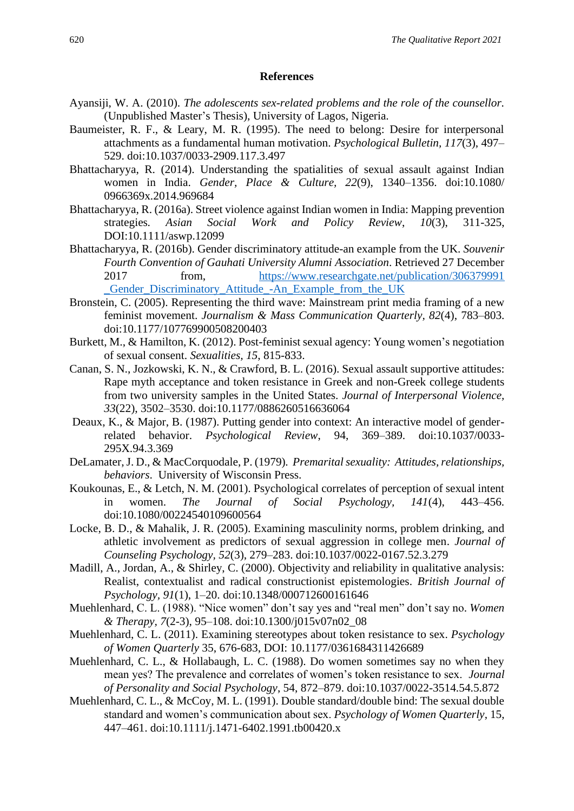#### **References**

- Ayansiji, W. A. (2010). *The adolescents sex-related problems and the role of the counsellor.*  (Unpublished Master's Thesis), University of Lagos, Nigeria.
- Baumeister, R. F., & Leary, M. R. (1995). The need to belong: Desire for interpersonal attachments as a fundamental human motivation. *Psychological Bulletin, 117*(3), 497– 529. doi:10.1037/0033-2909.117.3.497
- Bhattacharyya, R. (2014). Understanding the spatialities of sexual assault against Indian women in India. *Gender, Place & Culture, 22*(9), 1340–1356. doi:10.1080/ 0966369x.2014.969684
- Bhattacharyya, R. (2016a). Street violence against Indian women in India: Mapping prevention strategies*. Asian Social Work and Policy Review*, *10*(3), 311-325, DOI:10.1111/aswp.12099
- Bhattacharyya, R. (2016b). Gender discriminatory attitude-an example from the UK. *Souvenir Fourth Convention of Gauhati University Alumni Association*. Retrieved 27 December 2017 from, [https://www.researchgate.net/publication/306379991](about:blank)  [\\_Gender\\_Discriminatory\\_Attitude\\_-An\\_Example\\_from\\_the\\_UK](about:blank)
- Bronstein, C. (2005). Representing the third wave: Mainstream print media framing of a new feminist movement. *Journalism & Mass Communication Quarterly, 82*(4), 783–803. doi:10.1177/107769900508200403
- Burkett, M., & Hamilton, K. (2012). Post-feminist sexual agency: Young women's negotiation of sexual consent. *Sexualities, 15*, 815-833.
- Canan, S. N., Jozkowski, K. N., & Crawford, B. L. (2016). Sexual assault supportive attitudes: Rape myth acceptance and token resistance in Greek and non-Greek college students from two university samples in the United States. *Journal of Interpersonal Violence, 33*(22), 3502–3530. doi:10.1177/0886260516636064
- Deaux, K., & Major, B. (1987). Putting gender into context: An interactive model of genderrelated behavior. *Psychological Review*, 94, 369–389. doi:10.1037/0033- 295X.94.3.369
- DeLamater, J. D., & MacCorquodale, P. (1979)*. Premarital sexuality: Attitudes, relationships, behaviors*. University of Wisconsin Press.
- Koukounas, E., & Letch, N. M. (2001). Psychological correlates of perception of sexual intent in women. *The Journal of Social Psychology, 141*(4), 443–456. doi:10.1080/00224540109600564
- Locke, B. D., & Mahalik, J. R. (2005). Examining masculinity norms, problem drinking, and athletic involvement as predictors of sexual aggression in college men. *Journal of Counseling Psychology, 52*(3), 279–283. doi:10.1037/0022-0167.52.3.279
- Madill, A., Jordan, A., & Shirley, C. (2000). Objectivity and reliability in qualitative analysis: Realist, contextualist and radical constructionist epistemologies. *British Journal of Psychology, 91*(1), 1–20. doi:10.1348/000712600161646
- Muehlenhard, C. L. (1988). "Nice women" don't say yes and "real men" don't say no. *Women & Therapy, 7*(2-3), 95–108. doi:10.1300/j015v07n02\_08
- Muehlenhard, C. L. (2011). Examining stereotypes about token resistance to sex. *Psychology of Women Quarterly* 35, 676-683, DOI: 10.1177/0361684311426689
- Muehlenhard, C. L., & Hollabaugh, L. C. (1988). Do women sometimes say no when they mean yes? The prevalence and correlates of women's token resistance to sex. *Journal of Personality and Social Psychology*, 54, 872–879. doi:10.1037/0022-3514.54.5.872
- Muehlenhard, C. L., & McCoy, M. L. (1991). Double standard/double bind: The sexual double standard and women's communication about sex. *Psychology of Women Quarterly*, 15, 447–461. doi:10.1111/j.1471-6402.1991.tb00420.x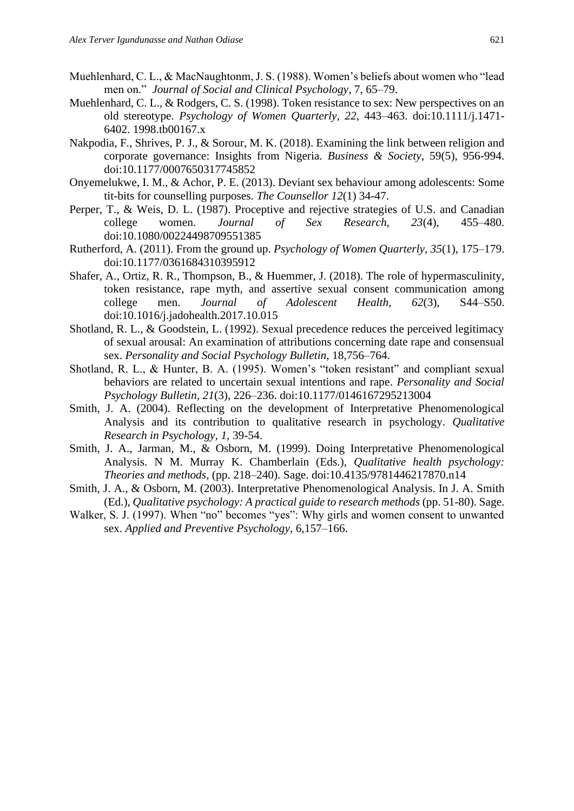- Muehlenhard, C. L., & MacNaughtonm, J. S. (1988). Women's beliefs about women who "lead men on." *Journal of Social and Clinical Psychology*, 7, 65–79.
- Muehlenhard, C. L., & Rodgers, C. S. (1998). Token resistance to sex: New perspectives on an old stereotype. *Psychology of Women Quarterly, 22*, 443–463. doi:10.1111/j.1471- 6402. 1998.tb00167.x
- Nakpodia, F., Shrives, P. J., & Sorour, M. K. (2018). Examining the link between religion and corporate governance: Insights from Nigeria. *Business & Society*, 59(5), 956-994. doi:10.1177/0007650317745852
- Onyemelukwe, I. M., & Achor, P. E. (2013). Deviant sex behaviour among adolescents: Some tit-bits for counselling purposes. *The Counsellor 12*(1) 34-47.
- Perper, T., & Weis, D. L. (1987). Proceptive and rejective strategies of U.S. and Canadian college women. *Journal of Sex Research, 23*(4), 455–480. doi:10.1080/00224498709551385
- Rutherford, A. (2011). From the ground up. *Psychology of Women Quarterly, 35*(1), 175–179. doi:10.1177/0361684310395912
- Shafer, A., Ortiz, R. R., Thompson, B., & Huemmer, J. (2018). The role of hypermasculinity, token resistance, rape myth, and assertive sexual consent communication among college men. *Journal of Adolescent Health, 62*(3), S44–S50. doi:10.1016/j.jadohealth.2017.10.015
- Shotland, R. L., & Goodstein, L. (1992). Sexual precedence reduces the perceived legitimacy of sexual arousal: An examination of attributions concerning date rape and consensual sex. *Personality and Social Psychology Bulletin*, 18,756–764.
- Shotland, R. L., & Hunter, B. A. (1995). Women's "token resistant" and compliant sexual behaviors are related to uncertain sexual intentions and rape. *Personality and Social Psychology Bulletin, 21*(3), 226–236. doi:10.1177/0146167295213004
- Smith, J. A. (2004). Reflecting on the development of Interpretative Phenomenological Analysis and its contribution to qualitative research in psychology. *Qualitative Research in Psychology, 1,* 39-54.
- Smith, J. A., Jarman, M., & Osborn, M. (1999). Doing Interpretative Phenomenological Analysis. N M. Murray K. Chamberlain (Eds.), *Qualitative health psychology: Theories and methods*, (pp. 218–240). Sage. doi:10.4135/9781446217870.n14
- Smith, J. A., & Osborn, M. (2003). Interpretative Phenomenological Analysis. In J. A. Smith (Ed.), *Qualitative psychology: A practical guide to research methods* (pp. 51-80). Sage.
- Walker, S. J. (1997). When "no" becomes "yes": Why girls and women consent to unwanted sex. *Applied and Preventive Psychology*, 6,157–166.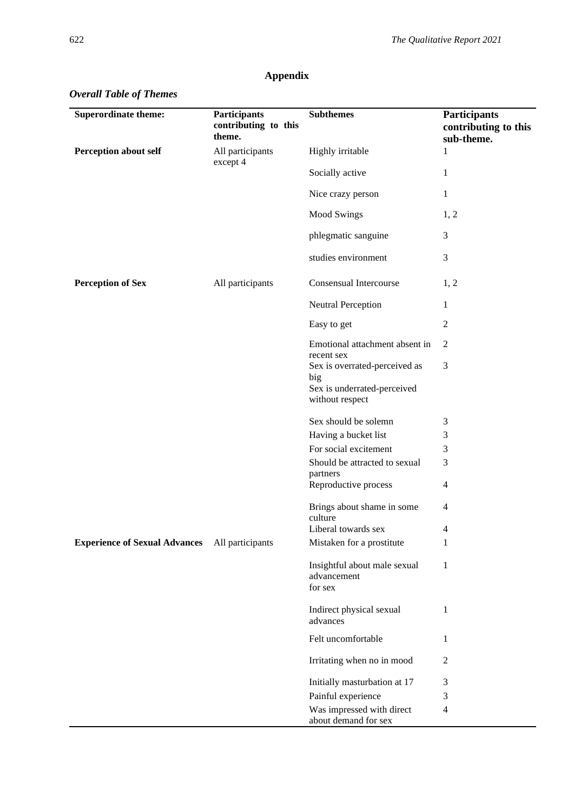| <b>Superordinate theme:</b>          | <b>Participants</b><br>contributing to this<br>theme. | <b>Subthemes</b>                                                                       | Participants<br>contributing to this<br>sub-theme. |
|--------------------------------------|-------------------------------------------------------|----------------------------------------------------------------------------------------|----------------------------------------------------|
| <b>Perception about self</b>         | All participants<br>except 4                          | Highly irritable                                                                       | 1                                                  |
|                                      |                                                       | Socially active                                                                        | 1                                                  |
|                                      |                                                       | Nice crazy person                                                                      | 1                                                  |
|                                      |                                                       | <b>Mood Swings</b>                                                                     | 1, 2                                               |
|                                      |                                                       | phlegmatic sanguine                                                                    | 3                                                  |
|                                      |                                                       | studies environment                                                                    | $\mathfrak{Z}$                                     |
| <b>Perception of Sex</b>             | All participants                                      | Consensual Intercourse                                                                 | 1, 2                                               |
|                                      |                                                       | Neutral Perception                                                                     | 1                                                  |
|                                      |                                                       | Easy to get                                                                            | 2                                                  |
|                                      |                                                       | Emotional attachment absent in<br>recent sex                                           | $\overline{2}$                                     |
|                                      |                                                       | Sex is overrated-perceived as<br>big<br>Sex is underrated-perceived<br>without respect | 3                                                  |
|                                      |                                                       | Sex should be solemn                                                                   | 3                                                  |
|                                      |                                                       | Having a bucket list                                                                   | 3                                                  |
|                                      |                                                       | For social excitement                                                                  | 3                                                  |
|                                      |                                                       | Should be attracted to sexual                                                          | 3                                                  |
|                                      |                                                       | partners<br>Reproductive process                                                       | 4                                                  |
|                                      |                                                       | Brings about shame in some<br>culture                                                  | 4                                                  |
|                                      |                                                       | Liberal towards sex                                                                    | 4                                                  |
| <b>Experience of Sexual Advances</b> | All participants                                      | Mistaken for a prostitute                                                              | 1                                                  |
|                                      |                                                       | Insightful about male sexual<br>advancement<br>for sex                                 | 1                                                  |
|                                      |                                                       | Indirect physical sexual<br>advances                                                   | 1                                                  |
|                                      |                                                       | Felt uncomfortable                                                                     | 1                                                  |
|                                      |                                                       | Irritating when no in mood                                                             | $\overline{2}$                                     |
|                                      |                                                       | Initially masturbation at 17                                                           | 3                                                  |
|                                      |                                                       | Painful experience                                                                     | 3                                                  |
|                                      |                                                       | Was impressed with direct                                                              | $\overline{4}$                                     |

about demand for sex

## **Appendix**

## *Overall Table of Themes*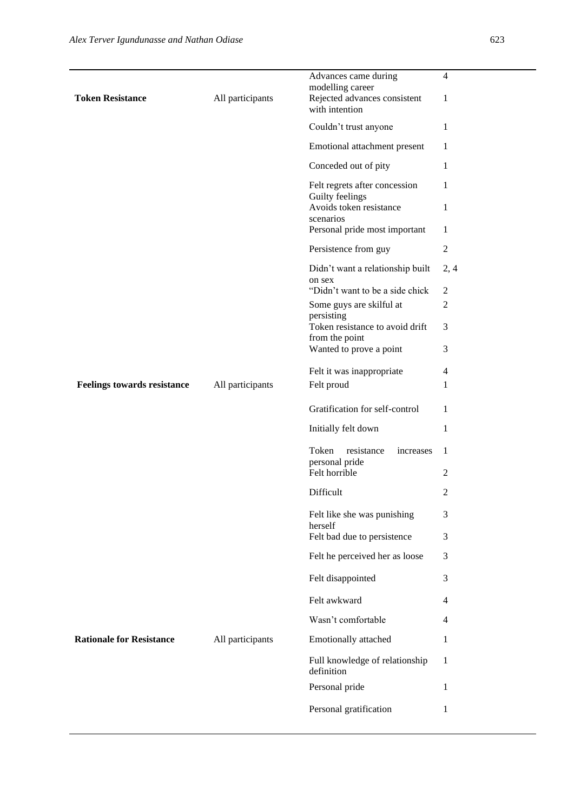| <b>Token Resistance</b>            | All participants | Advances came during<br>modelling career<br>Rejected advances consistent | $\overline{4}$<br>1 |
|------------------------------------|------------------|--------------------------------------------------------------------------|---------------------|
|                                    |                  | with intention                                                           |                     |
|                                    |                  | Couldn't trust anyone                                                    | 1                   |
|                                    |                  | Emotional attachment present                                             | 1                   |
|                                    |                  | Conceded out of pity                                                     | 1                   |
|                                    |                  | Felt regrets after concession<br>Guilty feelings                         | 1                   |
|                                    |                  | Avoids token resistance                                                  | 1                   |
|                                    |                  | scenarios<br>Personal pride most important                               | 1                   |
|                                    |                  | Persistence from guy                                                     | $\overline{2}$      |
|                                    |                  | Didn't want a relationship built                                         | 2, 4                |
|                                    |                  | on sex                                                                   |                     |
|                                    |                  | "Didn't want to be a side chick                                          | $\boldsymbol{2}$    |
|                                    |                  | Some guys are skilful at<br>persisting                                   | $\overline{c}$      |
|                                    |                  | Token resistance to avoid drift                                          | 3                   |
|                                    |                  | from the point                                                           |                     |
|                                    |                  | Wanted to prove a point                                                  | 3                   |
|                                    |                  | Felt it was inappropriate                                                | 4                   |
| <b>Feelings towards resistance</b> | All participants | Felt proud                                                               | 1                   |
|                                    |                  | Gratification for self-control                                           | 1                   |
|                                    |                  | Initially felt down                                                      | 1                   |
|                                    |                  | Token<br>resistance<br>increases                                         | 1                   |
|                                    |                  | personal pride<br>Felt horrible                                          | $\overline{c}$      |
|                                    |                  | Difficult                                                                | 2                   |
|                                    |                  | Felt like she was punishing<br>herself                                   | 3                   |
|                                    |                  | Felt bad due to persistence                                              | 3                   |
|                                    |                  | Felt he perceived her as loose                                           | 3                   |
|                                    |                  | Felt disappointed                                                        | 3                   |
|                                    |                  | Felt awkward                                                             | 4                   |
|                                    |                  | Wasn't comfortable                                                       | 4                   |
| <b>Rationale for Resistance</b>    | All participants | Emotionally attached                                                     | 1                   |
|                                    |                  | Full knowledge of relationship<br>definition                             | 1                   |
|                                    |                  | Personal pride                                                           | 1                   |
|                                    |                  | Personal gratification                                                   | 1                   |
|                                    |                  |                                                                          |                     |